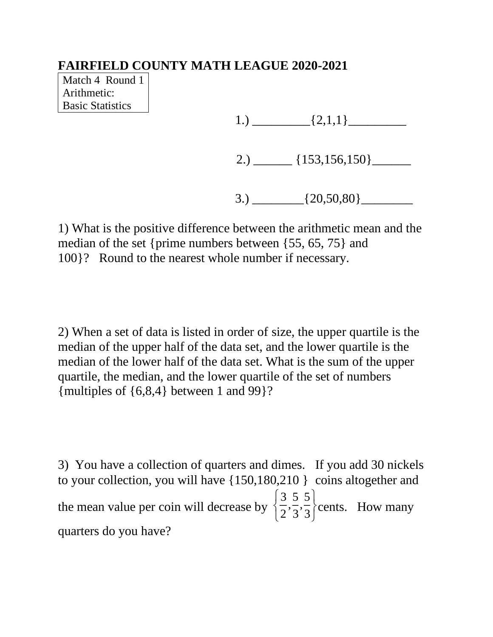Match 4 Round 1 Arithmetic: Basic Statistics

1.)  $\qquad \qquad \qquad \qquad$   $\qquad \qquad$   $\qquad \qquad$   $\qquad \qquad$   $\qquad \qquad$   $\qquad \qquad$   $\qquad \qquad$   $\qquad \qquad$   $\qquad \qquad$   $\qquad \qquad$   $\qquad$   $\qquad \qquad$   $\qquad$   $\qquad$   $\qquad$   $\qquad$   $\qquad$   $\qquad$   $\qquad$   $\qquad$   $\qquad$   $\qquad$   $\qquad$   $\qquad$   $\qquad$   $\qquad$   $\qquad$   $\qquad$   $\qquad$   $\qquad$ 

2.)  $\frac{153,156,150}$ 

3.)  $\{20,50,80\}$ 

1) What is the positive difference between the arithmetic mean and the median of the set {prime numbers between {55, 65, 75} and 100}? Round to the nearest whole number if necessary.

2) When a set of data is listed in order of size, the upper quartile is the median of the upper half of the data set, and the lower quartile is the median of the lower half of the data set. What is the sum of the upper quartile, the median, and the lower quartile of the set of numbers {multiples of {6,8,4} between 1 and 99}?

3) You have a collection of quarters and dimes. If you add 30 nickels to your collection, you will have {150,180,210 } coins altogether and the mean value per coin will decrease by 3 2 , 5 3 , 5 3 ì í î  $\mathcal{I}$  $\bigg\}$ þ cents. How many quarters do you have?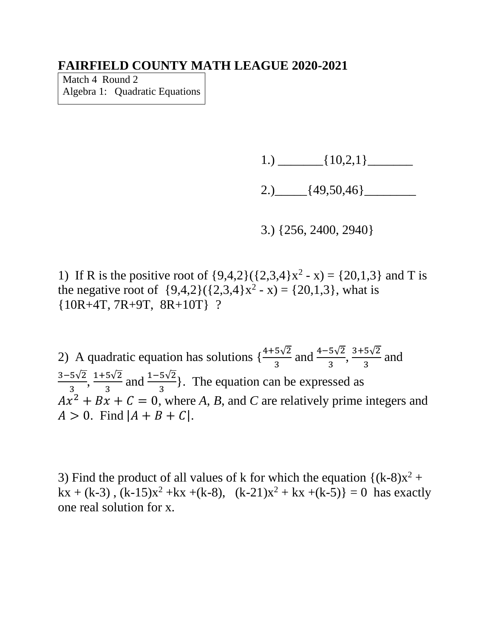Match 4 Round 2 Algebra 1: Quadratic Equations

1.)  $\frac{10,2,1}$ 

2.)  $[49,50,46]$ 

3.) {256, 2400, 2940}

1) If R is the positive root of  $\{9,4,2\}(\{2,3,4\}x^2 - x) = \{20,1,3\}$  and T is the negative root of  $\{9,4,2\}(\{2,3,4\}x^2 - x) = \{20,1,3\}$ , what is {10R+4T, 7R+9T, 8R+10T} ?

2) A quadratic equation has solutions  $\{\frac{4+5\sqrt{2}}{3} \text{ and } \frac{4-5\sqrt{2}}{3}, \frac{3+5\sqrt{2}}{3}\}$  $rac{3v^2}{3}$  and 3−5√2  $\frac{5\sqrt{2}}{3}, \frac{1+5\sqrt{2}}{3}$  $\frac{5\sqrt{2}}{3}$  and  $\frac{1-5\sqrt{2}}{3}$ . The equation can be expressed as  $Ax^{2} + Bx + C = 0$ , where *A*, *B*, and *C* are relatively prime integers and  $A > 0$ . Find  $|A + B + C|$ .

3) Find the product of all values of k for which the equation  $\{(k-8)x^2 +$  $kx + (k-3)$ ,  $(k-15)x^2 + kx + (k-8)$ ,  $(k-21)x^2 + kx + (k-5) = 0$  has exactly one real solution for x.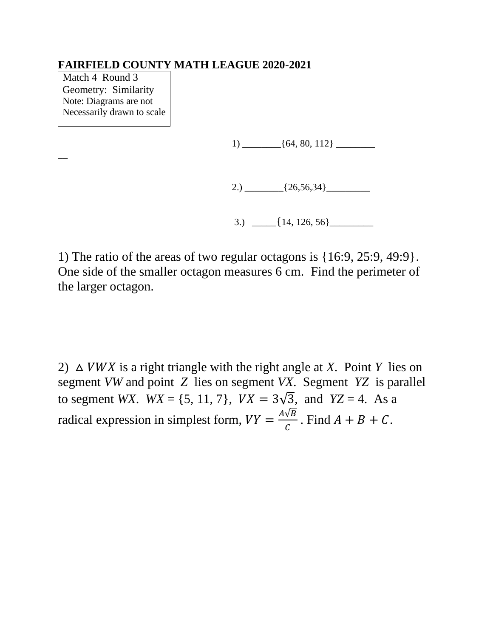Match 4 Round 3 Geometry: Similarity Note: Diagrams are not Necessarily drawn to scale

 $\overline{\phantom{a}}$ 

1) \_\_\_\_\_\_\_\_{64, 80, 112} \_\_\_\_\_\_\_\_

2.)  $\frac{26,56,34}{20}$ 

3.)  $\left[\frac{14, 126, 56\right]$ 

1) The ratio of the areas of two regular octagons is {16:9, 25:9, 49:9}. One side of the smaller octagon measures 6 cm. Find the perimeter of the larger octagon.

2)  $\triangle$  *VWX* is a right triangle with the right angle at *X*. Point *Y* lies on segment *VW* and point *Z* lies on segment *VX*. Segment *YZ* is parallel to segment *WX*.  $WX = \{5, 11, 7\}$ ,  $VX = 3\sqrt{3}$ , and  $YZ = 4$ . As a radical expression in simplest form,  $VY = \frac{A\sqrt{B}}{C}$  $\frac{\sqrt{D}}{C}$ . Find  $A + B + C$ .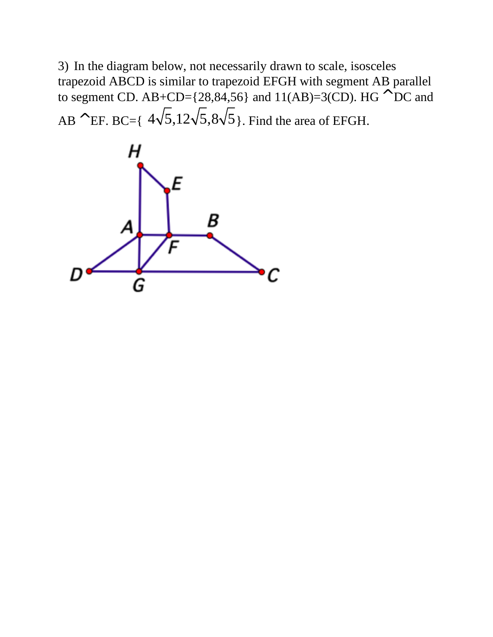3) In the diagram below, not necessarily drawn to scale, isosceles trapezoid ABCD is similar to trapezoid EFGH with segment AB parallel to segment CD. AB+CD={28,84,56} and 11(AB)=3(CD). HG  $^{\wedge}$  DC and  $AB^{\wedge}$ EF. BC={  $4\sqrt{5}$ ,  $12\sqrt{5}$ ,  $8\sqrt{5}$ }. Find the area of EFGH.

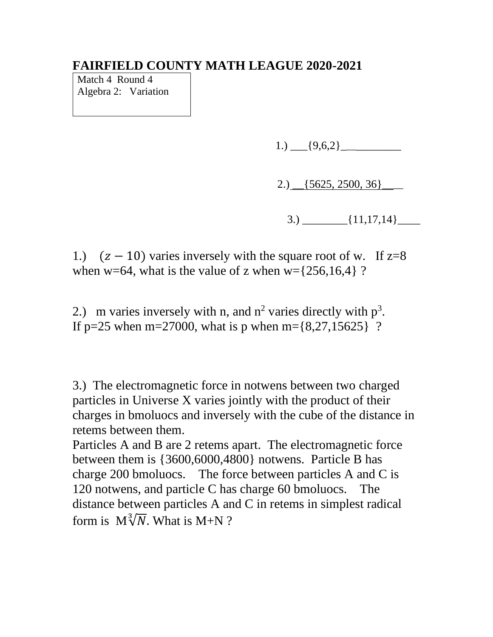Match 4 Round 4 Algebra 2: Variation

1.)  $\{9,6,2\}$ 

2.) \_\_{5625, 2500, 36}\_\_\_\_

 $3.) \qquad \qquad$  {11,17,14}

1.)  $(z - 10)$  varies inversely with the square root of w. If  $z=8$ when w=64, what is the value of z when w= $\{256,16,4\}$  ?

2.) m varies inversely with n, and  $n^2$  varies directly with  $p^3$ . If p=25 when m=27000, what is p when m= $\{8,27,15625\}$  ?

3.) The electromagnetic force in notwens between two charged particles in Universe X varies jointly with the product of their charges in bmoluocs and inversely with the cube of the distance in retems between them.

Particles A and B are 2 retems apart. The electromagnetic force between them is {3600,6000,4800} notwens. Particle B has charge 200 bmoluocs. The force between particles A and C is 120 notwens, and particle C has charge 60 bmoluocs. The distance between particles A and C in retems in simplest radical form is  $M\sqrt[3]{N}$ . What is M+N ?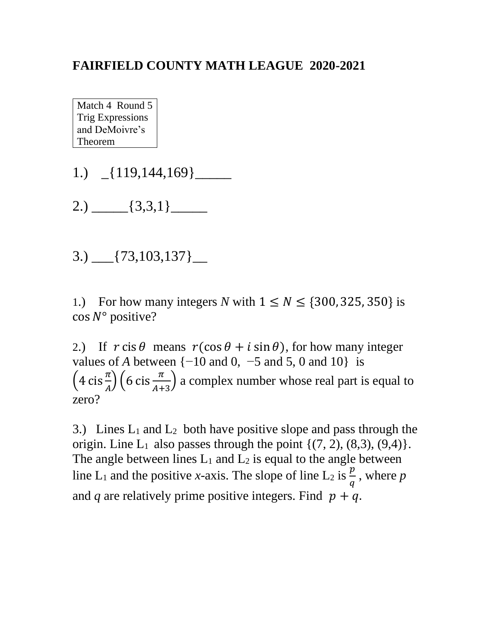Match 4 Round 5 Trig Expressions and DeMoivre's Theorem

- 1.)  $[119,144,169]$
- $2.) \_\_$ {3,3,1} $\_\_$
- $3.)$   $[73,103,137]$   $\_$

1.) For how many integers *N* with  $1 \leq N \leq \{300, 325, 350\}$  is  $\cos N^{\circ}$  positive?

2.) If  $r \text{ cis } \theta$  means  $r(\cos \theta + i \sin \theta)$ , for how many integer values of *A* between  $\{-10 \text{ and } 0, -5 \text{ and } 5, 0 \text{ and } 10\}$  is  $\left(4 \operatorname{cis} \frac{\pi}{A}\right) \left(6 \operatorname{cis} \frac{\pi}{A+3}\right)$  a complex number whose real part is equal to zero?

3.) Lines  $L_1$  and  $L_2$  both have positive slope and pass through the origin. Line  $L_1$  also passes through the point  $\{(7, 2), (8, 3), (9, 4)\}.$ The angle between lines  $L_1$  and  $L_2$  is equal to the angle between line L<sub>1</sub> and the positive *x*-axis. The slope of line L<sub>2</sub> is  $\frac{p}{q}$ , where p and *q* are relatively prime positive integers. Find  $p + q$ .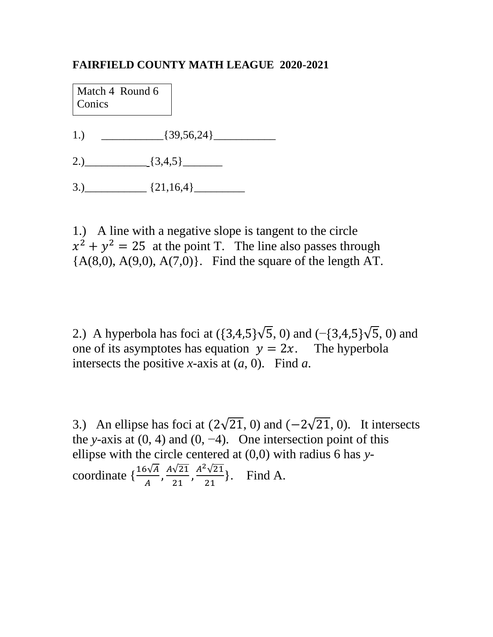Match 4 Round 6 **Conics** 

- 1.)  $\left\{39,56,24\right\}$
- 2.)  $[3,4,5]$
- $3.)$   $(21,16,4)$

1.) A line with a negative slope is tangent to the circle  $x^2 + y^2 = 25$  at the point T. The line also passes through  ${A(8,0), A(9,0), A(7,0)}.$  Find the square of the length AT.

2.) A hyperbola has foci at  $({3,4,5}\sqrt{5}, 0)$  and  $({-3,4,5}\sqrt{5}, 0)$  and one of its asymptotes has equation  $y = 2x$ . The hyperbola intersects the positive *x*-axis at (*a*, 0). Find *a*.

3.) An ellipse has foci at  $(2\sqrt{21}, 0)$  and  $(-2\sqrt{21}, 0)$ . It intersects the *y*-axis at  $(0, 4)$  and  $(0, -4)$ . One intersection point of this ellipse with the circle centered at (0,0) with radius 6 has *y*coordinate  $\{\frac{16\sqrt{A}}{A}, \frac{A\sqrt{21}}{21}\}$  $\frac{\sqrt{21}}{21}, \frac{A^2\sqrt{21}}{21}$  $\frac{\sqrt{21}}{21}$ . Find A.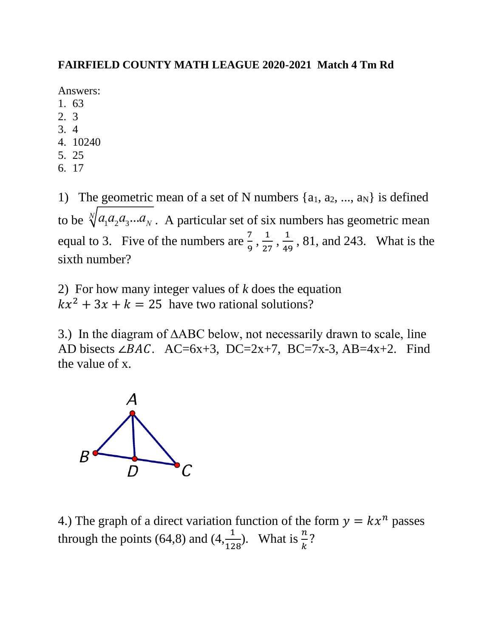### **FAIRFIELD COUNTY MATH LEAGUE 2020-2021 Match 4 Tm Rd**

Answers:

- 1. 63
- 2. 3
- 3. 4
- 4. 10240
- 5. 25
- 6. 17

1) The geometric mean of a set of N numbers  $\{a_1, a_2, ..., a_N\}$  is defined to be  $\sqrt[n]{a_1 a_2 a_3 ... a_N}$ . A particular set of six numbers has geometric mean equal to 3. Five of the numbers are  $\frac{7}{9}$ ,  $\frac{1}{25}$  $\frac{1}{27}, \frac{1}{49}$  $\frac{1}{49}$ , 81, and 243. What is the sixth number?

2) For how many integer values of *k* does the equation  $kx^2 + 3x + k = 25$  have two rational solutions?

3.) In the diagram of ∆ABC below, not necessarily drawn to scale, line AD bisects ∠*BAC*. AC=6x+3, DC=2x+7, BC=7x-3, AB=4x+2. Find the value of x.



4.) The graph of a direct variation function of the form  $y = kx^n$  passes through the points (64,8) and (4, $\frac{1}{128}$ ). What is  $\frac{n}{k}$ ?